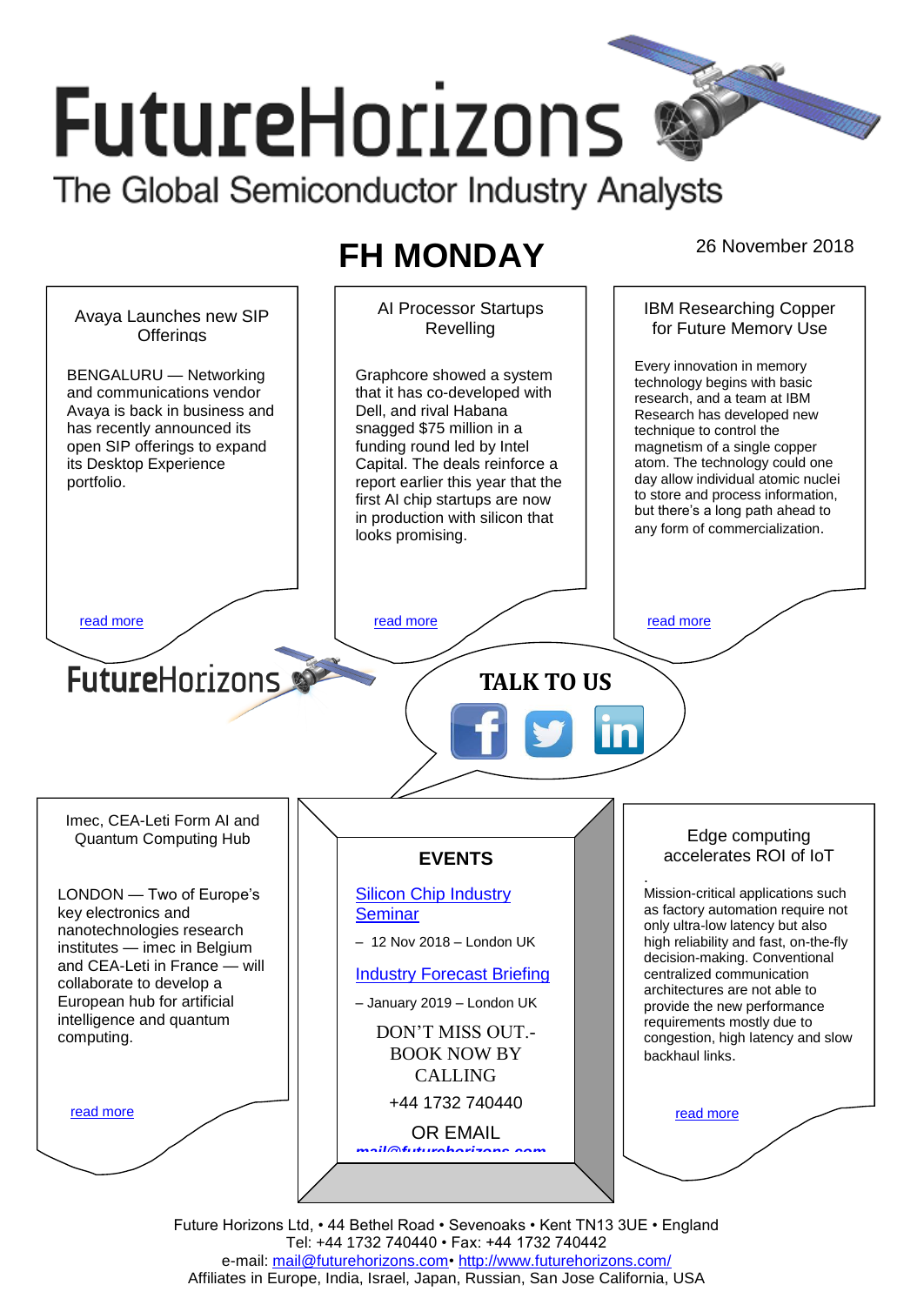# **FutureHorizons** The Global Semiconductor Industry Analysts

## **FH MONDAY** 26 November 2018



Future Horizons Ltd, • 44 Bethel Road • Sevenoaks • Kent TN13 3UE • England Tel: +44 1732 740440 • Fax: +44 1732 740442 e-mail: [mail@futurehorizons.com•](../FH%20Monday%20-%202017/mail@futurehorizons.com)<http://www.futurehorizons.com/> Affiliates in Europe, India, Israel, Japan, Russian, San Jose California, USA